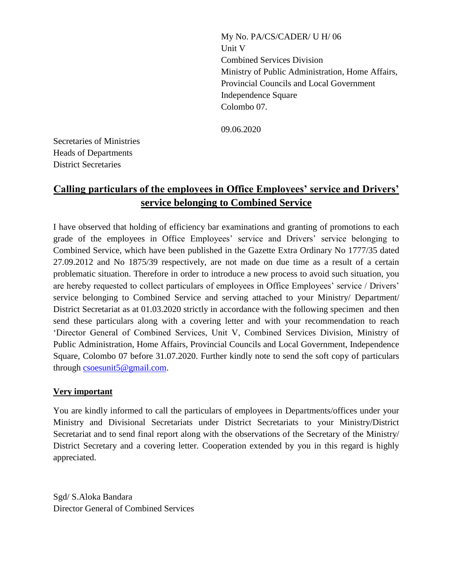My No. PA/CS/CADER/ U H/ 06 Unit V Combined Services Division Ministry of Public Administration, Home Affairs, Provincial Councils and Local Government Independence Square Colombo 07.

09.06.2020

Secretaries of Ministries Heads of Departments District Secretaries

## **Calling particulars of the employees in Office Employees' service and Drivers' service belonging to Combined Service**

I have observed that holding of efficiency bar examinations and granting of promotions to each grade of the employees in Office Employees' service and Drivers' service belonging to Combined Service, which have been published in the Gazette Extra Ordinary No 1777/35 dated 27.09.2012 and No 1875/39 respectively, are not made on due time as a result of a certain problematic situation. Therefore in order to introduce a new process to avoid such situation, you are hereby requested to collect particulars of employees in Office Employees' service / Drivers' service belonging to Combined Service and serving attached to your Ministry/ Department/ District Secretariat as at 01.03.2020 strictly in accordance with the following specimen and then send these particulars along with a covering letter and with your recommendation to reach 'Director General of Combined Services, Unit V, Combined Services Division, Ministry of Public Administration, Home Affairs, Provincial Councils and Local Government, Independence Square, Colombo 07 before 31.07.2020. Further kindly note to send the soft copy of particulars through [csoesunit5@gmail.com.](csoesunit5@gmail.com)

## **Very important**

You are kindly informed to call the particulars of employees in Departments/offices under your Ministry and Divisional Secretariats under District Secretariats to your Ministry/District Secretariat and to send final report along with the observations of the Secretary of the Ministry/ District Secretary and a covering letter. Cooperation extended by you in this regard is highly appreciated.

Sgd/ S.Aloka Bandara Director General of Combined Services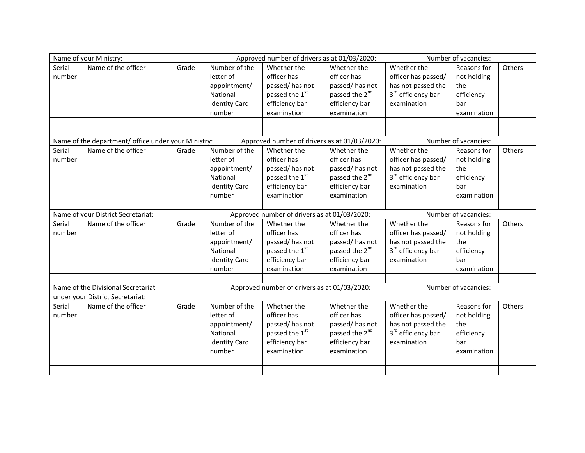|                                                                                                     | Name of your Ministry: |       | Approved number of drivers as at 01/03/2020: | Number of vacancies:       |                            |                                |  |                      |        |
|-----------------------------------------------------------------------------------------------------|------------------------|-------|----------------------------------------------|----------------------------|----------------------------|--------------------------------|--|----------------------|--------|
| Serial                                                                                              | Name of the officer    | Grade | Number of the                                | Whether the                | Whether the                | Whether the                    |  | Reasons for          | Others |
| number                                                                                              |                        |       | letter of                                    | officer has                | officer has                | officer has passed/            |  | not holding          |        |
|                                                                                                     |                        |       | appointment/                                 | passed/has not             | passed/has not             | has not passed the             |  | the                  |        |
|                                                                                                     |                        |       | National                                     | passed the 1 <sup>st</sup> | passed the 2 <sup>nd</sup> | 3 <sup>rd</sup> efficiency bar |  | efficiency           |        |
|                                                                                                     |                        |       | <b>Identity Card</b>                         | efficiency bar             | efficiency bar             | examination                    |  | bar                  |        |
|                                                                                                     |                        |       | number                                       | examination                | examination                |                                |  | examination          |        |
|                                                                                                     |                        |       |                                              |                            |                            |                                |  |                      |        |
|                                                                                                     |                        |       |                                              |                            |                            |                                |  |                      |        |
| Name of the department/ office under your Ministry:<br>Approved number of drivers as at 01/03/2020: |                        |       |                                              |                            |                            |                                |  | Number of vacancies: |        |
| Serial                                                                                              | Name of the officer    | Grade | Number of the                                | Whether the                | Whether the                | Whether the                    |  | Reasons for          | Others |
| number                                                                                              |                        |       | letter of                                    | officer has                | officer has                | officer has passed/            |  | not holding          |        |
|                                                                                                     |                        |       | appointment/                                 | passed/has not             | passed/has not             | has not passed the             |  | the                  |        |
|                                                                                                     |                        |       | National                                     | passed the 1st             | passed the 2 <sup>nd</sup> | 3 <sup>rd</sup> efficiency bar |  | efficiency           |        |
|                                                                                                     |                        |       | <b>Identity Card</b>                         | efficiency bar             | efficiency bar             | examination                    |  | bar                  |        |
|                                                                                                     |                        |       | number                                       | examination                | examination                |                                |  | examination          |        |
|                                                                                                     |                        |       |                                              |                            |                            |                                |  |                      |        |
| Approved number of drivers as at 01/03/2020:<br>Name of your District Secretariat:                  |                        |       |                                              |                            |                            | Number of vacancies:           |  |                      |        |
| Serial                                                                                              | Name of the officer    | Grade | Number of the                                | Whether the                | Whether the                | Whether the                    |  | Reasons for          | Others |
| number                                                                                              |                        |       | letter of                                    | officer has                | officer has                | officer has passed/            |  | not holding          |        |
|                                                                                                     |                        |       | appointment/                                 | passed/has not             | passed/has not             | has not passed the             |  | the                  |        |
|                                                                                                     |                        |       | National                                     | passed the 1st             | passed the 2 <sup>nd</sup> | 3 <sup>rd</sup> efficiency bar |  | efficiency           |        |
|                                                                                                     |                        |       | <b>Identity Card</b>                         | efficiency bar             | efficiency bar             | examination                    |  | bar                  |        |
|                                                                                                     |                        |       | number                                       | examination                | examination                |                                |  | examination          |        |
|                                                                                                     |                        |       |                                              |                            |                            |                                |  |                      |        |
| Name of the Divisional Secretariat<br>Approved number of drivers as at 01/03/2020:                  |                        |       |                                              |                            |                            |                                |  | Number of vacancies: |        |
| under your District Secretariat:                                                                    |                        |       |                                              |                            |                            |                                |  |                      |        |
| Serial                                                                                              | Name of the officer    | Grade | Number of the                                | Whether the                | Whether the                | Whether the                    |  | Reasons for          | Others |
| number                                                                                              |                        |       | letter of                                    | officer has                | officer has                | officer has passed/            |  | not holding          |        |
|                                                                                                     |                        |       | appointment/                                 | passed/has not             | passed/has not             | has not passed the<br>the      |  |                      |        |
|                                                                                                     |                        |       | National                                     | passed the 1st             | passed the 2 <sup>nd</sup> | 3rd efficiency bar             |  | efficiency           |        |
|                                                                                                     |                        |       | <b>Identity Card</b>                         | efficiency bar             | efficiency bar             | examination                    |  | bar                  |        |
|                                                                                                     |                        |       | number                                       | examination                | examination                |                                |  | examination          |        |
|                                                                                                     |                        |       |                                              |                            |                            |                                |  |                      |        |
|                                                                                                     |                        |       |                                              |                            |                            |                                |  |                      |        |